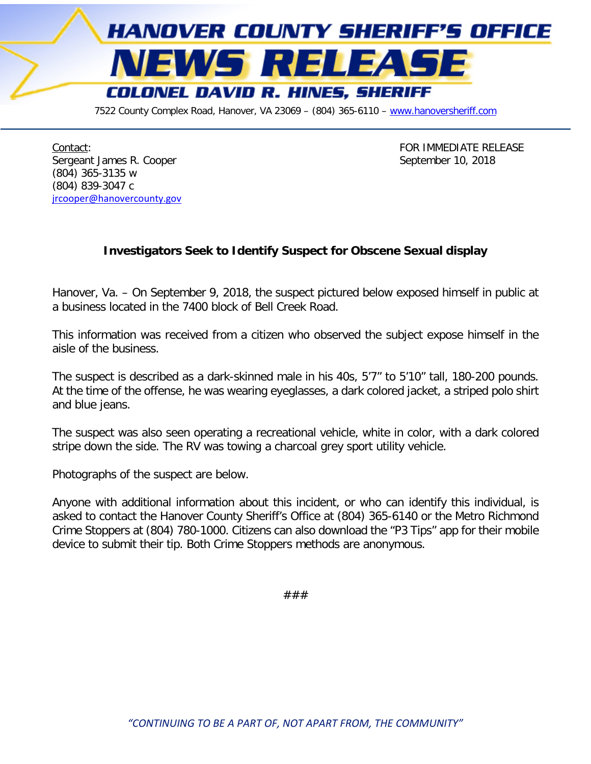

7522 County Complex Road, Hanover, VA 23069 - (804) 365-6110 - [www.hanoversheriff.com](http://www.hanoversheriff.com/)

Contact: Contact: Contact: Contact: Contact: Contact: Contact: Contact: Contact: Contact: Contact: Contact: Contact: Contact: Contact: Contact: Contact: Contact: Contact: Contact: Contact: Contact: Contact: Contact: Contac Sergeant James R. Cooper September 10, 2018 (804) 365-3135 w (804) 839-3047 c [jrcooper@hanovercounty.gov](mailto:jrcooper@hanovercounty.gov)

## **Investigators Seek to Identify Suspect for Obscene Sexual display**

Hanover, Va. – On September 9, 2018, the suspect pictured below exposed himself in public at a business located in the 7400 block of Bell Creek Road.

This information was received from a citizen who observed the subject expose himself in the aisle of the business.

The suspect is described as a dark-skinned male in his 40s, 5'7" to 5'10" tall, 180-200 pounds. At the time of the offense, he was wearing eyeglasses, a dark colored jacket, a striped polo shirt and blue jeans.

The suspect was also seen operating a recreational vehicle, white in color, with a dark colored stripe down the side. The RV was towing a charcoal grey sport utility vehicle.

Photographs of the suspect are below.

Anyone with additional information about this incident, or who can identify this individual, is asked to contact the Hanover County Sheriff's Office at (804) 365-6140 or the Metro Richmond Crime Stoppers at (804) 780-1000. Citizens can also download the "P3 Tips" app for their mobile device to submit their tip. Both Crime Stoppers methods are anonymous.

###